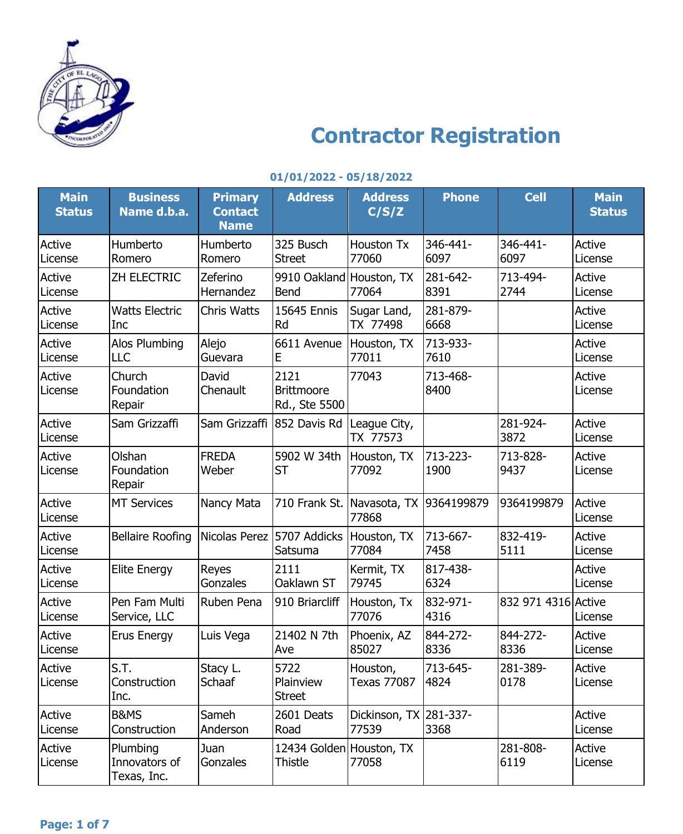

## **Contractor Registration**

| <b>Main</b><br><b>Status</b> | <b>Business</b><br>Name d.b.a.           | <b>Primary</b><br><b>Contact</b><br><b>Name</b> | <b>Address</b>                      | <b>Address</b><br>C/S/Z                        | <b>Phone</b>     | <b>Cell</b>         | <b>Main</b><br><b>Status</b> |
|------------------------------|------------------------------------------|-------------------------------------------------|-------------------------------------|------------------------------------------------|------------------|---------------------|------------------------------|
| Active<br>License            | Humberto<br>Romero                       | Humberto<br>Romero                              | 325 Busch<br><b>Street</b>          | <b>Houston Tx</b><br>77060                     | 346-441-<br>6097 | 346-441-<br>6097    | Active<br>License            |
| Active<br>License            | ZH ELECTRIC                              | Zeferino<br>Hernandez                           | 9910 Oakland Houston, TX<br>Bend    | 77064                                          | 281-642-<br>8391 | 713-494-<br>2744    | Active<br>License            |
| Active<br>License            | <b>Watts Electric</b><br>Inc             | <b>Chris Watts</b>                              | 15645 Ennis<br><b>Rd</b>            | Sugar Land,<br>TX 77498                        | 281-879-<br>6668 |                     | Active<br>License            |
| Active<br>License            | Alos Plumbing<br><b>LLC</b>              | Alejo<br>Guevara                                | 6611 Avenue<br>Е                    | Houston, TX<br>77011                           | 713-933-<br>7610 |                     | Active<br>License            |
| Active<br>License            | Church<br>Foundation<br>Repair           | David<br>Chenault                               | 2121<br>Brittmoore<br>Rd., Ste 5500 | 77043                                          | 713-468-<br>8400 |                     | Active<br>License            |
| Active<br>License            | Sam Grizzaffi                            | Sam Grizzaffi                                   | 852 Davis Rd                        | League City,<br>TX 77573                       |                  | 281-924-<br>3872    | Active<br>License            |
| Active<br>License            | Olshan<br>Foundation<br>Repair           | <b>FREDA</b><br>Weber                           | 5902 W 34th<br><b>ST</b>            | Houston, TX<br>77092                           | 713-223-<br>1900 | 713-828-<br>9437    | Active<br>License            |
| Active<br>License            | <b>MT Services</b>                       | Nancy Mata                                      |                                     | 710 Frank St. Navasota, TX 9364199879<br>77868 |                  | 9364199879          | Active<br>License            |
| Active<br>License            | <b>Bellaire Roofing</b>                  | Nicolas Perez 5707 Addicks                      | Satsuma                             | Houston, TX<br>77084                           | 713-667-<br>7458 | 832-419-<br>5111    | Active<br>License            |
| Active<br>License            | <b>Elite Energy</b>                      | Reyes<br>Gonzales                               | 2111<br>Oaklawn ST                  | Kermit, TX<br>79745                            | 817-438-<br>6324 |                     | Active<br>License            |
| Active<br>License            | Pen Fam Multi<br>Service, LLC            | Ruben Pena                                      | 910 Briarcliff                      | Houston, Tx<br>77076                           | 832-971-<br>4316 | 832 971 4316 Active | License                      |
| Active<br>License            | <b>Erus Energy</b>                       | Luis Vega                                       | 21402 N 7th<br>Ave                  | Phoenix, AZ<br>85027                           | 844-272-<br>8336 | 844-272-<br>8336    | Active<br>License            |
| Active<br>License            | S.T.<br>Construction<br>Inc.             | Stacy L.<br>Schaaf                              | 5722<br>Plainview<br><b>Street</b>  | Houston,<br><b>Texas 77087</b>                 | 713-645-<br>4824 | 281-389-<br>0178    | Active<br>License            |
| Active<br>License            | <b>B&amp;MS</b><br>Construction          | Sameh<br>Anderson                               | 2601 Deats<br>Road                  | Dickinson, TX 281-337-<br>77539                | 3368             |                     | Active<br>License            |
| Active<br>License            | Plumbing<br>Innovators of<br>Texas, Inc. | Juan<br>Gonzales                                | 12434 Golden Houston, TX<br>Thistle | 77058                                          |                  | 281-808-<br>6119    | Active<br>License            |

## **01/01/2022 - 05/18/2022**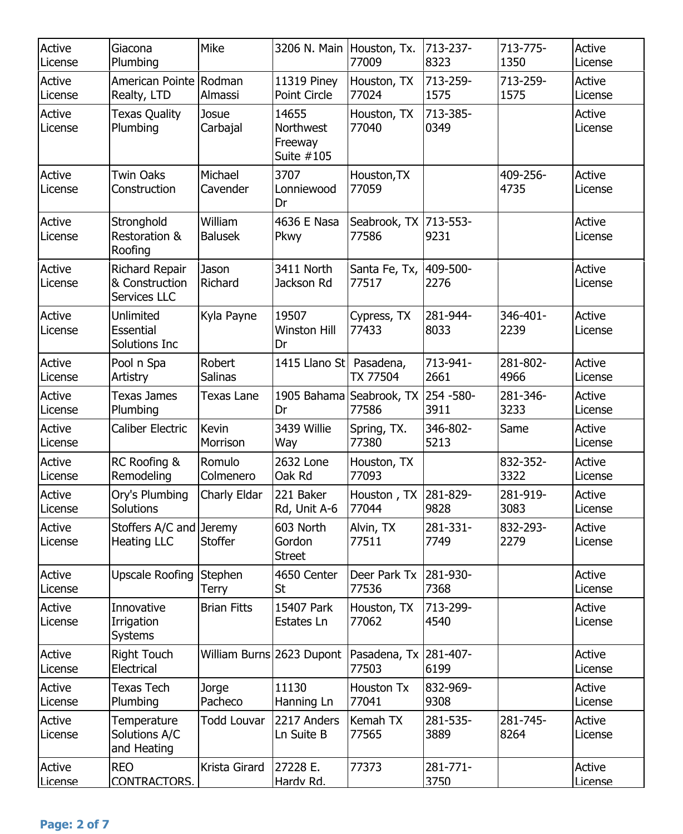| Active<br>License | Giacona<br>Plumbing                                     | <b>Mike</b>               | 3206 N. Main Houston, Tx.                   | 77009                                                      | 713-237-<br>8323   | 713-775-<br>1350 | Active<br>License |
|-------------------|---------------------------------------------------------|---------------------------|---------------------------------------------|------------------------------------------------------------|--------------------|------------------|-------------------|
| Active<br>License | American Pointe Rodman<br>Realty, LTD                   | Almassi                   | <b>11319 Piney</b><br><b>Point Circle</b>   | Houston, TX<br>77024                                       | 713-259-<br>1575   | 713-259-<br>1575 | Active<br>License |
| Active<br>License | <b>Texas Quality</b><br>Plumbing                        | Josue<br>Carbajal         | 14655<br>Northwest<br>Freeway<br>Suite #105 | Houston, TX<br>77040                                       | 713-385-<br>0349   |                  | Active<br>License |
| Active<br>License | <b>Twin Oaks</b><br>Construction                        | Michael<br>Cavender       | 3707<br>Lonniewood<br>Dr                    | Houston, TX<br>77059                                       |                    | 409-256-<br>4735 | Active<br>License |
| Active<br>License | Stronghold<br><b>Restoration &amp;</b><br>Roofing       | William<br><b>Balusek</b> | 4636 E Nasa<br>Pkwy                         | Seabrook, TX 713-553-<br>77586                             | 9231               |                  | Active<br>License |
| Active<br>License | <b>Richard Repair</b><br>& Construction<br>Services LLC | Jason<br>Richard          | 3411 North<br>Jackson Rd                    | Santa Fe, Tx,<br>77517                                     | 409-500-<br>2276   |                  | Active<br>License |
| Active<br>License | Unlimited<br>Essential<br>Solutions Inc                 | Kyla Payne                | 19507<br><b>Winston Hill</b><br>Dr          | Cypress, TX<br>77433                                       | 281-944-<br>8033   | 346-401-<br>2239 | Active<br>License |
| Active<br>License | Pool n Spa<br>Artistry                                  | Robert<br><b>Salinas</b>  | 1415 Llano St Pasadena,                     | TX 77504                                                   | 713-941-<br>2661   | 281-802-<br>4966 | Active<br>License |
| Active<br>License | <b>Texas James</b><br>Plumbing                          | Texas Lane                | Dr                                          | 1905 Bahama Seabrook, TX<br>77586                          | 254 - 580-<br>3911 | 281-346-<br>3233 | Active<br>License |
| Active<br>License | <b>Caliber Electric</b>                                 | <b>Kevin</b><br>Morrison  | 3439 Willie<br>Way                          | Spring, TX.<br>77380                                       | 346-802-<br>5213   | Same             | Active<br>License |
| Active<br>License | RC Roofing &<br>Remodeling                              | Romulo<br>Colmenero       | 2632 Lone<br>Oak Rd                         | Houston, TX<br>77093                                       |                    | 832-352-<br>3322 | Active<br>License |
| Active<br>License | Ory's Plumbing<br>Solutions                             | Charly Eldar              | 221 Baker<br>Rd, Unit A-6                   | Houston, TX<br>77044                                       | 281-829-<br>9828   | 281-919-<br>3083 | Active<br>License |
| Active<br>License | Stoffers A/C and Jeremy<br><b>Heating LLC</b>           | <b>Stoffer</b>            | 603 North<br>Gordon<br><b>Street</b>        | Alvin, TX<br>77511                                         | 281-331-<br>7749   | 832-293-<br>2279 | Active<br>License |
| Active<br>License | Upscale Roofing Stephen                                 | Terry                     | 4650 Center<br>St                           | Deer Park Tx<br>77536                                      | 281-930-<br>7368   |                  | Active<br>License |
| Active<br>License | Innovative<br>Irrigation<br><b>Systems</b>              | <b>Brian Fitts</b>        | 15407 Park<br>Estates Ln                    | Houston, TX<br>77062                                       | 713-299-<br>4540   |                  | Active<br>License |
| Active<br>License | <b>Right Touch</b><br>Electrical                        |                           |                                             | William Burns 2623 Dupont   Pasadena, Tx 281-407-<br>77503 | 6199               |                  | Active<br>License |
| Active<br>License | <b>Texas Tech</b><br>Plumbing                           | Jorge<br>Pacheco          | 11130<br>Hanning Ln                         | Houston Tx<br>77041                                        | 832-969-<br>9308   |                  | Active<br>License |
| Active<br>License | Temperature<br>Solutions A/C<br>and Heating             | <b>Todd Louvar</b>        | 2217 Anders<br>Ln Suite B                   | Kemah TX<br>77565                                          | 281-535-<br>3889   | 281-745-<br>8264 | Active<br>License |
| Active<br>License | <b>REO</b><br>CONTRACTORS.                              | Krista Girard             | 27228 E.<br>Hardv Rd.                       | 77373                                                      | 281-771-<br>3750   |                  | Active<br>License |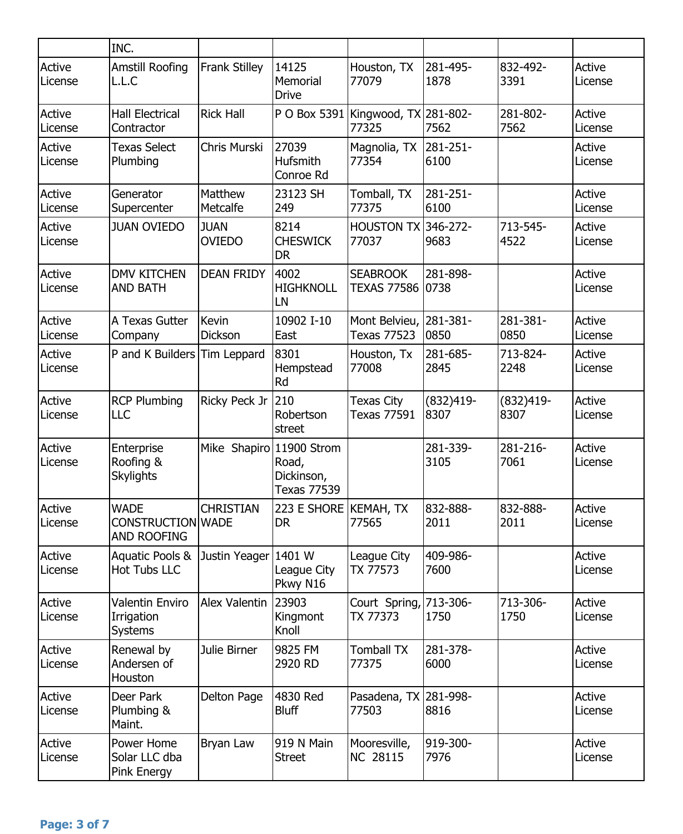|                   | INC.                                                        |                              |                                           |                                              |                     |                     |                   |
|-------------------|-------------------------------------------------------------|------------------------------|-------------------------------------------|----------------------------------------------|---------------------|---------------------|-------------------|
| Active<br>License | <b>Amstill Roofing</b><br>L.L.C                             | <b>Frank Stilley</b>         | 14125<br>Memorial<br><b>Drive</b>         | Houston, TX<br>77079                         | 281-495-<br>1878    | 832-492-<br>3391    | Active<br>License |
| Active<br>License | <b>Hall Electrical</b><br>Contractor                        | <b>Rick Hall</b>             |                                           | P O Box 5391 Kingwood, TX 281-802-<br>77325  | 7562                | 281-802-<br>7562    | Active<br>License |
| Active<br>License | <b>Texas Select</b><br>Plumbing                             | Chris Murski                 | 27039<br>Hufsmith<br>Conroe Rd            | Magnolia, TX<br>77354                        | 281-251-<br>6100    |                     | Active<br>License |
| Active<br>License | Generator<br>Supercenter                                    | Matthew<br>Metcalfe          | 23123 SH<br>249                           | Tomball, TX<br>77375                         | 281-251-<br>6100    |                     | Active<br>License |
| Active<br>License | <b>JUAN OVIEDO</b>                                          | <b>JUAN</b><br><b>OVIEDO</b> | 8214<br><b>CHESWICK</b><br><b>DR</b>      | <b>HOUSTON TX 346-272-</b><br>77037          | 9683                | 713-545-<br>4522    | Active<br>License |
| Active<br>License | <b>DMV KITCHEN</b><br><b>AND BATH</b>                       | <b>DEAN FRIDY</b>            | 4002<br><b>HIGHKNOLL</b><br>LN            | <b>SEABROOK</b><br><b>TEXAS 77586</b>        | 281-898-<br>0738    |                     | Active<br>License |
| Active<br>License | A Texas Gutter<br>Company                                   | <b>Kevin</b><br>Dickson      | 10902 I-10<br>East                        | Mont Belvieu, 281-381-<br><b>Texas 77523</b> | 0850                | 281-381-<br>0850    | Active<br>License |
| Active<br>License | P and K Builders Tim Leppard                                |                              | 8301<br>Hempstead<br>Rd                   | Houston, Tx<br>77008                         | 281-685-<br>2845    | 713-824-<br>2248    | Active<br>License |
| Active<br>License | <b>RCP Plumbing</b><br><b>LLC</b>                           | Ricky Peck Jr                | 210<br>Robertson<br>street                | Texas City<br>Texas 77591                    | $(832)419-$<br>8307 | $(832)419-$<br>8307 | Active<br>License |
| Active<br>License | Enterprise<br>Roofing &<br><b>Skylights</b>                 | Mike Shapiro 11900 Strom     | Road,<br>Dickinson,<br><b>Texas 77539</b> |                                              | 281-339-<br>3105    | 281-216-<br>7061    | Active<br>License |
| Active<br>License | <b>WADE</b><br>CONSTRUCTION WADE<br>AND ROOFING             | <b>CHRISTIAN</b>             | 223 E SHORE   KEMAH, TX<br><b>DR</b>      | 77565                                        | 832-888-<br>2011    | 832-888-<br>2011    | Active<br>License |
| Active<br>License | Aquatic Pools & Justin Yeager 1401 W<br><b>Hot Tubs LLC</b> |                              | League City<br>Pkwy N16                   | League City<br>TX 77573                      | 409-986-<br>7600    |                     | Active<br>License |
| Active<br>License | <b>Valentin Enviro</b><br>Irrigation<br>Systems             | Alex Valentin                | 23903<br>Kingmont<br>Knoll                | Court Spring, 713-306-<br>TX 77373           | 1750                | 713-306-<br>1750    | Active<br>License |
| Active<br>License | Renewal by<br>Andersen of<br>Houston                        | Julie Birner                 | 9825 FM<br>2920 RD                        | <b>Tomball TX</b><br>77375                   | 281-378-<br>6000    |                     | Active<br>License |
| Active<br>License | Deer Park<br>Plumbing &<br>Maint.                           | Delton Page                  | 4830 Red<br><b>Bluff</b>                  | Pasadena, TX 281-998-<br>77503               | 8816                |                     | Active<br>License |
| Active<br>License | Power Home<br>Solar LLC dba<br><b>Pink Energy</b>           | Bryan Law                    | 919 N Main<br><b>Street</b>               | Mooresville,<br><b>NC 28115</b>              | 919-300-<br>7976    |                     | Active<br>License |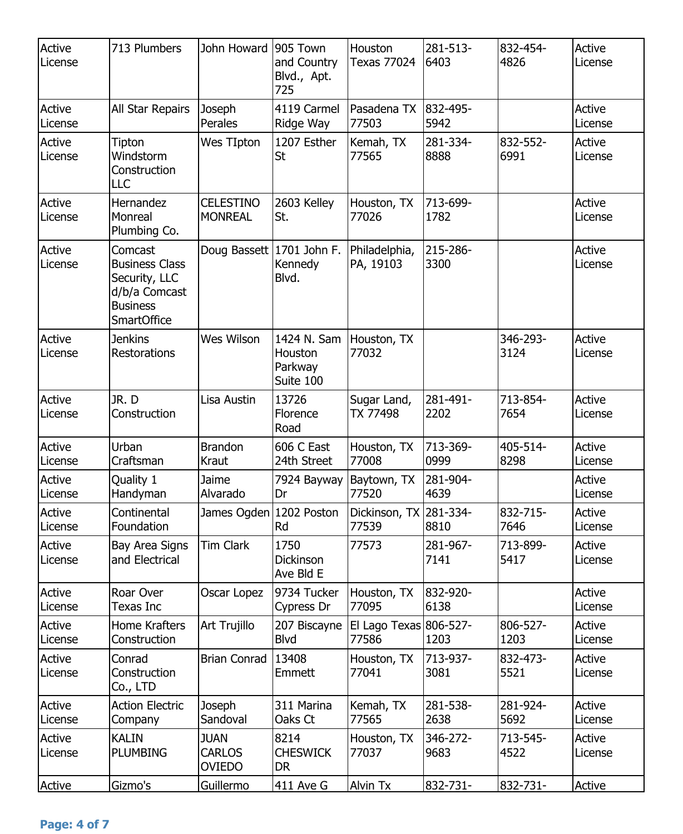| Active<br>License | 713 Plumbers                                                                                                | John Howard 905 Town                          | and Country<br>Blvd., Apt.<br>725              | Houston<br><b>Texas 77024</b>   | 281-513-<br>6403 | 832-454-<br>4826 | Active<br>License |
|-------------------|-------------------------------------------------------------------------------------------------------------|-----------------------------------------------|------------------------------------------------|---------------------------------|------------------|------------------|-------------------|
| Active<br>License | All Star Repairs                                                                                            | Joseph<br>Perales                             | 4119 Carmel<br>Ridge Way                       | Pasadena TX<br>77503            | 832-495-<br>5942 |                  | Active<br>License |
| Active<br>License | Tipton<br>Windstorm<br>Construction<br>LLC                                                                  | Wes TIpton                                    | 1207 Esther<br><b>St</b>                       | Kemah, TX<br>77565              | 281-334-<br>8888 | 832-552-<br>6991 | Active<br>License |
| Active<br>License | Hernandez<br>Monreal<br>Plumbing Co.                                                                        | <b>CELESTINO</b><br><b>MONREAL</b>            | 2603 Kelley<br>St.                             | Houston, TX<br>77026            | 713-699-<br>1782 |                  | Active<br>License |
| Active<br>License | Comcast<br><b>Business Class</b><br>Security, LLC<br>d/b/a Comcast<br><b>Business</b><br><b>SmartOffice</b> | Doug Bassett 1701 John F.                     | Kennedy<br>Blvd.                               | Philadelphia,<br>PA, 19103      | 215-286-<br>3300 |                  | Active<br>License |
| Active<br>License | <b>Jenkins</b><br>Restorations                                                                              | Wes Wilson                                    | 1424 N. Sam<br>Houston<br>Parkway<br>Suite 100 | Houston, TX<br>77032            |                  | 346-293-<br>3124 | Active<br>License |
| Active<br>License | JR.D<br>Construction                                                                                        | Lisa Austin                                   | 13726<br>Florence<br>Road                      | Sugar Land,<br>TX 77498         | 281-491-<br>2202 | 713-854-<br>7654 | Active<br>License |
| Active<br>License | Urban<br>Craftsman                                                                                          | <b>Brandon</b><br>Kraut                       | 606 C East<br>24th Street                      | Houston, TX<br>77008            | 713-369-<br>0999 | 405-514-<br>8298 | Active<br>License |
| Active<br>License | Quality 1<br>Handyman                                                                                       | Jaime<br>Alvarado                             | 7924 Bayway Baytown, TX<br>Dr                  | 77520                           | 281-904-<br>4639 |                  | Active<br>License |
| Active<br>License | Continental<br>Foundation                                                                                   |                                               | James Ogden 1202 Poston<br>Rd                  | Dickinson, TX 281-334-<br>77539 | 8810             | 832-715-<br>7646 | Active<br>License |
| Active<br>License | <b>Bay Area Signs</b><br>and Electrical                                                                     | <b>Tim Clark</b>                              | 1750<br><b>Dickinson</b><br>Ave Bld E          | 77573                           | 281-967-<br>7141 | 713-899-<br>5417 | Active<br>License |
| Active<br>License | Roar Over<br>Texas Inc                                                                                      | Oscar Lopez                                   | 9734 Tucker<br>Cypress Dr                      | Houston, TX<br>77095            | 832-920-<br>6138 |                  | Active<br>License |
| Active<br>License | Home Krafters<br>Construction                                                                               | Art Trujillo                                  | 207 Biscayne<br><b>Blvd</b>                    | El Lago Texas 806-527-<br>77586 | 1203             | 806-527-<br>1203 | Active<br>License |
| Active<br>License | Conrad<br>Construction<br>Co., LTD                                                                          | Brian Conrad   13408                          | Emmett                                         | Houston, TX<br>77041            | 713-937-<br>3081 | 832-473-<br>5521 | Active<br>License |
| Active<br>License | <b>Action Electric</b><br>Company                                                                           | Joseph<br>Sandoval                            | 311 Marina<br>Oaks Ct                          | Kemah, TX<br>77565              | 281-538-<br>2638 | 281-924-<br>5692 | Active<br>License |
| Active<br>License | <b>KALIN</b><br><b>PLUMBING</b>                                                                             | <b>JUAN</b><br><b>CARLOS</b><br><b>OVIEDO</b> | 8214<br><b>CHESWICK</b><br><b>DR</b>           | Houston, TX<br>77037            | 346-272-<br>9683 | 713-545-<br>4522 | Active<br>License |
| Active            | Gizmo's                                                                                                     | Guillermo                                     | 411 Ave G                                      | Alvin Tx                        | 832-731-         | 832-731-         | Active            |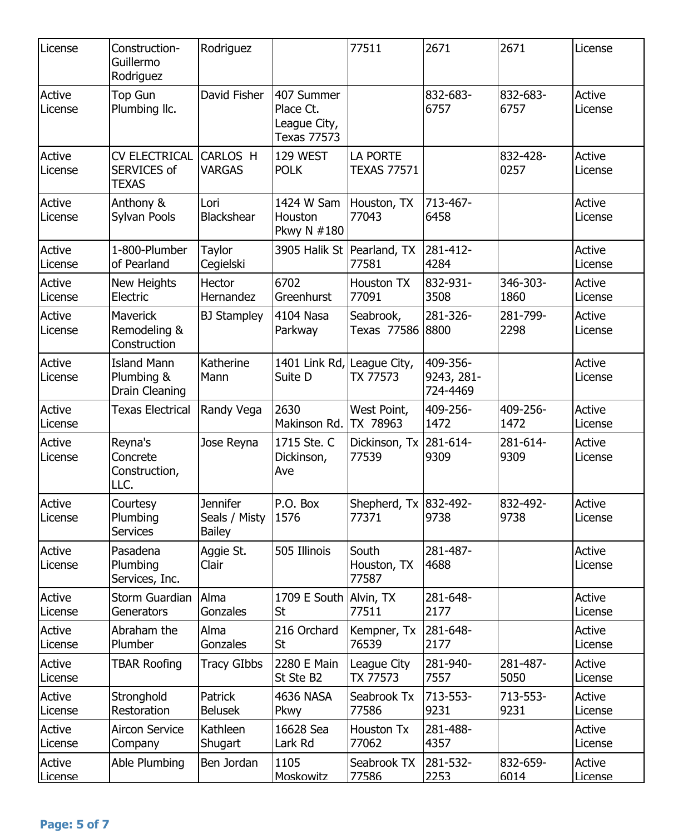| License           | Construction-<br>Guillermo<br>Rodriguez                    | Rodriguez                                  |                                                               | 77511                                 | 2671                               | 2671             | License           |
|-------------------|------------------------------------------------------------|--------------------------------------------|---------------------------------------------------------------|---------------------------------------|------------------------------------|------------------|-------------------|
| Active<br>License | <b>Top Gun</b><br>Plumbing Ilc.                            | David Fisher                               | 407 Summer<br>Place Ct.<br>League City,<br><b>Texas 77573</b> |                                       | 832-683-<br>6757                   | 832-683-<br>6757 | Active<br>License |
| Active<br>License | <b>CV ELECTRICAL</b><br><b>SERVICES of</b><br><b>TEXAS</b> | <b>CARLOS H</b><br><b>VARGAS</b>           | 129 WEST<br><b>POLK</b>                                       | <b>LA PORTE</b><br><b>TEXAS 77571</b> |                                    | 832-428-<br>0257 | Active<br>License |
| Active<br>License | Anthony &<br>Sylvan Pools                                  | Lori<br><b>Blackshear</b>                  | 1424 W Sam<br>Houston<br>Pkwy N #180                          | Houston, TX<br>77043                  | 713-467-<br>6458                   |                  | Active<br>License |
| Active<br>License | 1-800-Plumber<br>of Pearland                               | Taylor<br>Cegielski                        | 3905 Halik St   Pearland, TX                                  | 77581                                 | 281-412-<br>4284                   |                  | Active<br>License |
| Active<br>License | New Heights<br>Electric                                    | Hector<br>Hernandez                        | 6702<br>Greenhurst                                            | Houston TX<br>77091                   | 832-931-<br>3508                   | 346-303-<br>1860 | Active<br>License |
| Active<br>License | <b>Maverick</b><br>Remodeling &<br>Construction            | <b>BJ Stampley</b>                         | 4104 Nasa<br>Parkway                                          | Seabrook,<br>Texas 77586              | 281-326-<br>8800                   | 281-799-<br>2298 | Active<br>License |
| Active<br>License | <b>Island Mann</b><br>Plumbing &<br><b>Drain Cleaning</b>  | Katherine<br>Mann                          | 1401 Link Rd,<br>Suite D                                      | League City,<br>TX 77573              | 409-356-<br>9243, 281-<br>724-4469 |                  | Active<br>License |
| Active<br>License | <b>Texas Electrical</b>                                    | Randy Vega                                 | 2630<br>Makinson Rd.                                          | West Point,<br>TX 78963               | 409-256-<br>1472                   | 409-256-<br>1472 | Active<br>License |
| Active<br>License | Reyna's<br>Concrete<br>Construction,<br>LLC.               | Jose Reyna                                 | 1715 Ste. C<br>Dickinson,<br>Ave                              | Dickinson, Tx<br>77539                | 281-614-<br>9309                   | 281-614-<br>9309 | Active<br>License |
| Active<br>License | Courtesy<br>Plumbing<br><b>Services</b>                    | Jennifer<br>Seals / Misty<br><b>Bailey</b> | P.O. Box<br>1576                                              | Shepherd, Tx 832-492-<br>77371        | 9738                               | 832-492-<br>9738 | Active<br>License |
| Active<br>License | Pasadena<br>Plumbing<br>Services, Inc.                     | Aggie St.<br>Clair                         | 505 Illinois                                                  | South<br>Houston, TX<br>77587         | 281-487-<br>4688                   |                  | Active<br>License |
| Active<br>License | Storm Guardian<br>Generators                               | Alma<br>Gonzales                           | 1709 E South<br><b>St</b>                                     | Alvin, TX<br>77511                    | 281-648-<br>2177                   |                  | Active<br>License |
| Active<br>License | Abraham the<br>Plumber                                     | Alma<br>Gonzales                           | 216 Orchard<br><b>St</b>                                      | Kempner, Tx<br>76539                  | 281-648-<br>2177                   |                  | Active<br>License |
| Active<br>License | <b>TBAR Roofing</b>                                        | <b>Tracy GIbbs</b>                         | 2280 E Main<br>St Ste B <sub>2</sub>                          | League City<br>TX 77573               | 281-940-<br>7557                   | 281-487-<br>5050 | Active<br>License |
| Active<br>License | Stronghold<br>Restoration                                  | Patrick<br><b>Belusek</b>                  | <b>4636 NASA</b><br>Pkwy                                      | Seabrook Tx<br>77586                  | 713-553-<br>9231                   | 713-553-<br>9231 | Active<br>License |
| Active<br>License | Aircon Service<br>Company                                  | Kathleen<br>Shugart                        | 16628 Sea<br>Lark Rd                                          | Houston Tx<br>77062                   | 281-488-<br>4357                   |                  | Active<br>License |
| Active<br>License | Able Plumbing                                              | Ben Jordan                                 | 1105<br>Moskowitz                                             | Seabrook TX<br>77586                  | 281-532-<br>2253                   | 832-659-<br>6014 | Active<br>License |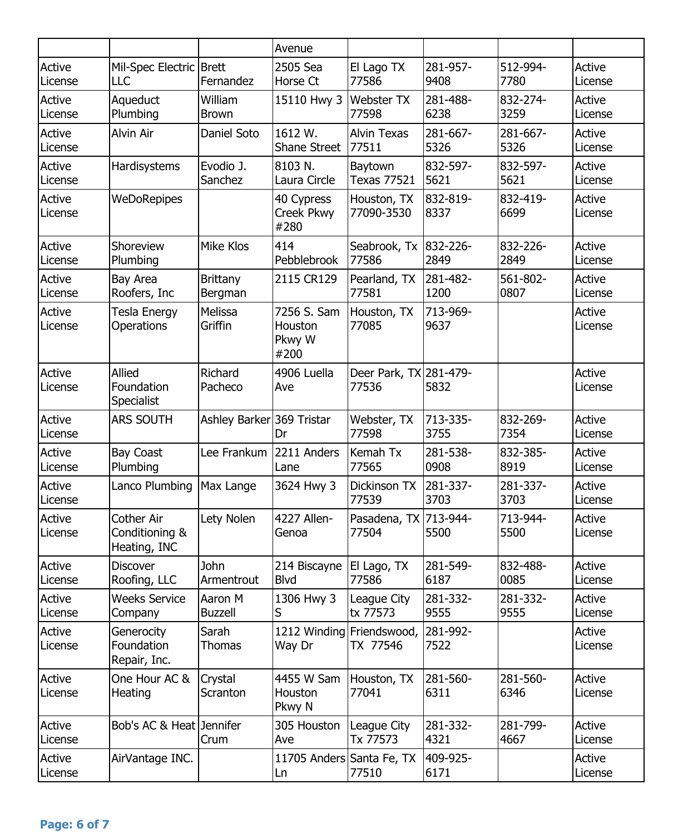|                   |                                                     |                            | Avenue                                   |                                 |                  |                  |                   |
|-------------------|-----------------------------------------------------|----------------------------|------------------------------------------|---------------------------------|------------------|------------------|-------------------|
| Active<br>License | Mil-Spec Electric Brett<br>LLC                      | Fernandez                  | 2505 Sea<br>Horse Ct                     | El Lago TX<br>77586             | 281-957-<br>9408 | 512-994-<br>7780 | Active<br>License |
| Active<br>License | Aqueduct<br>Plumbing                                | William<br><b>Brown</b>    | 15110 Hwy 3                              | Webster TX<br>77598             | 281-488-<br>6238 | 832-274-<br>3259 | Active<br>License |
| Active<br>License | <b>Alvin Air</b>                                    | Daniel Soto                | 1612 W.<br><b>Shane Street</b>           | <b>Alvin Texas</b><br>77511     | 281-667-<br>5326 | 281-667-<br>5326 | Active<br>License |
| Active<br>License | <b>Hardisystems</b>                                 | Evodio J.<br>Sanchez       | 8103 N.<br>Laura Circle                  | Baytown<br><b>Texas 77521</b>   | 832-597-<br>5621 | 832-597-<br>5621 | Active<br>License |
| Active<br>License | <b>WeDoRepipes</b>                                  |                            | 40 Cypress<br>Creek Pkwy<br>#280         | Houston, TX<br>77090-3530       | 832-819-<br>8337 | 832-419-<br>6699 | Active<br>License |
| Active<br>License | Shoreview<br>Plumbing                               | Mike Klos                  | 414<br>Pebblebrook                       | Seabrook, Tx 832-226-<br>77586  | 2849             | 832-226-<br>2849 | Active<br>License |
| Active<br>License | <b>Bay Area</b><br>Roofers, Inc                     | <b>Brittany</b><br>Bergman | 2115 CR129                               | Pearland, TX<br>77581           | 281-482-<br>1200 | 561-802-<br>0807 | Active<br>License |
| Active<br>License | <b>Tesla Energy</b><br>Operations                   | Melissa<br>Griffin         | 7256 S. Sam<br>Houston<br>Pkwy W<br>#200 | Houston, TX<br>77085            | 713-969-<br>9637 |                  | Active<br>License |
| Active<br>License | Allied<br>Foundation<br>Specialist                  | Richard<br>Pacheco         | 4906 Luella<br>Ave                       | Deer Park, TX 281-479-<br>77536 | 5832             |                  | Active<br>License |
| Active<br>License | <b>ARS SOUTH</b>                                    | Ashley Barker 369 Tristar  | Dr                                       | Webster, TX<br>77598            | 713-335-<br>3755 | 832-269-<br>7354 | Active<br>License |
| Active<br>License | <b>Bay Coast</b><br>Plumbing                        | Lee Frankum                | 2211 Anders<br>Lane                      | Kemah Tx<br>77565               | 281-538-<br>0908 | 832-385-<br>8919 | Active<br>License |
| Active<br>License | Lanco Plumbing                                      | Max Lange                  | 3624 Hwy 3                               | Dickinson TX<br>77539           | 281-337-<br>3703 | 281-337-<br>3703 | Active<br>License |
| Active<br>License | <b>Cother Air</b><br>Conditioning &<br>Heating, INC | Lety Nolen                 | 4227 Allen-<br>Genoa                     | Pasadena, TX 713-944-<br>77504  | 5500             | 713-944-<br>5500 | Active<br>License |
| Active<br>License | <b>Discover</b><br>Roofing, LLC                     | John<br>Armentrout         | 214 Biscayne<br><b>Blvd</b>              | El Lago, TX<br>77586            | 281-549-<br>6187 | 832-488-<br>0085 | Active<br>License |
| Active<br>License | <b>Weeks Service</b><br>Company                     | Aaron M<br><b>Buzzell</b>  | 1306 Hwy 3<br>S                          | League City<br>tx 77573         | 281-332-<br>9555 | 281-332-<br>9555 | Active<br>License |
| Active<br>License | Generocity<br>Foundation<br>Repair, Inc.            | Sarah<br>Thomas            | 1212 Winding Friendswood,<br>Way Dr      | TX 77546                        | 281-992-<br>7522 |                  | Active<br>License |
| Active<br>License | One Hour AC &<br>Heating                            | Crystal<br>Scranton        | 4455 W Sam<br>Houston<br>Pkwy N          | Houston, TX<br>77041            | 281-560-<br>6311 | 281-560-<br>6346 | Active<br>License |
| Active<br>License | Bob's AC & Heat Jennifer                            | Crum                       | 305 Houston<br>Ave                       | League City<br>Tx 77573         | 281-332-<br>4321 | 281-799-<br>4667 | Active<br>License |
| Active<br>License | AirVantage INC.                                     |                            | 11705 Anders Santa Fe, TX<br>Ln          | 77510                           | 409-925-<br>6171 |                  | Active<br>License |